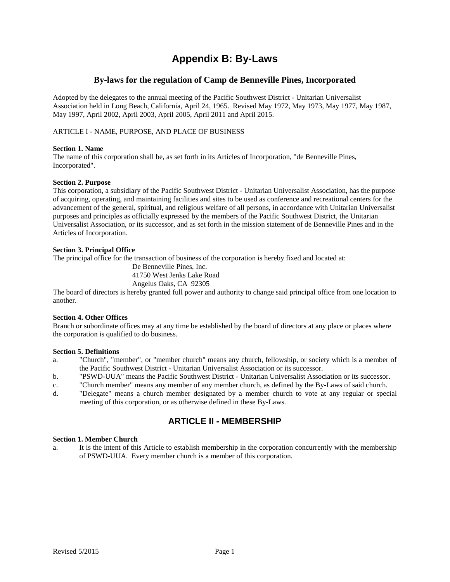# **Appendix B: By-Laws**

### **By-laws for the regulation of Camp de Benneville Pines, Incorporated**

Adopted by the delegates to the annual meeting of the Pacific Southwest District - Unitarian Universalist Association held in Long Beach, California, April 24, 1965. Revised May 1972, May 1973, May 1977, May 1987, May 1997, April 2002, April 2003, April 2005, April 2011 and April 2015.

ARTICLE I - NAME, PURPOSE, AND PLACE OF BUSINESS

#### **Section 1. Name**

The name of this corporation shall be, as set forth in its Articles of Incorporation, "de Benneville Pines, Incorporated".

#### **Section 2. Purpose**

This corporation, a subsidiary of the Pacific Southwest District - Unitarian Universalist Association, has the purpose of acquiring, operating, and maintaining facilities and sites to be used as conference and recreational centers for the advancement of the general, spiritual, and religious welfare of all persons, in accordance with Unitarian Universalist purposes and principles as officially expressed by the members of the Pacific Southwest District, the Unitarian Universalist Association, or its successor, and as set forth in the mission statement of de Benneville Pines and in the Articles of Incorporation.

#### **Section 3. Principal Office**

The principal office for the transaction of business of the corporation is hereby fixed and located at:

De Benneville Pines, Inc.

41750 West Jenks Lake Road Angelus Oaks, CA 92305

The board of directors is hereby granted full power and authority to change said principal office from one location to another.

#### **Section 4. Other Offices**

Branch or subordinate offices may at any time be established by the board of directors at any place or places where the corporation is qualified to do business.

#### **Section 5. Definitions**

- a. "Church", "member", or "member church" means any church, fellowship, or society which is a member of the Pacific Southwest District - Unitarian Universalist Association or its successor.
- b. "PSWD-UUA" means the Pacific Southwest District Unitarian Universalist Association or its successor.
- c. "Church member" means any member of any member church, as defined by the By-Laws of said church.
- d. "Delegate" means a church member designated by a member church to vote at any regular or special meeting of this corporation, or as otherwise defined in these By-Laws.

## **ARTICLE II - MEMBERSHIP**

#### **Section 1. Member Church**

a. It is the intent of this Article to establish membership in the corporation concurrently with the membership of PSWD-UUA. Every member church is a member of this corporation.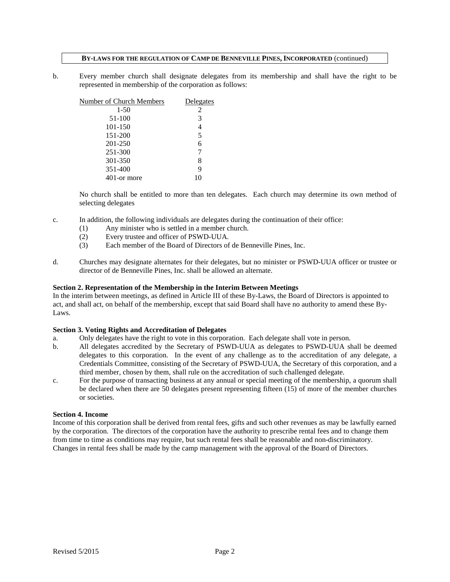b. Every member church shall designate delegates from its membership and shall have the right to be represented in membership of the corporation as follows:

| Number of Church Members | Delegates |
|--------------------------|-----------|
| $1 - 50$                 | 2         |
| 51-100                   | 3         |
| 101-150                  | 4         |
| 151-200                  | 5         |
| 201-250                  | 6         |
| 251-300                  |           |
| 301-350                  | 8         |
| 351-400                  | 9         |
| 401-or more              |           |

No church shall be entitled to more than ten delegates. Each church may determine its own method of selecting delegates

- c. In addition, the following individuals are delegates during the continuation of their office:
	- (1) Any minister who is settled in a member church.
	- (2) Every trustee and officer of PSWD-UUA.
	- (3) Each member of the Board of Directors of de Benneville Pines, Inc.
- d. Churches may designate alternates for their delegates, but no minister or PSWD-UUA officer or trustee or director of de Benneville Pines, Inc. shall be allowed an alternate.

#### **Section 2. Representation of the Membership in the Interim Between Meetings**

In the interim between meetings, as defined in Article III of these By-Laws, the Board of Directors is appointed to act, and shall act, on behalf of the membership, except that said Board shall have no authority to amend these By-Laws.

#### **Section 3. Voting Rights and Accreditation of Delegates**

- a. Only delegates have the right to vote in this corporation. Each delegate shall vote in person.
- b. All delegates accredited by the Secretary of PSWD-UUA as delegates to PSWD-UUA shall be deemed delegates to this corporation. In the event of any challenge as to the accreditation of any delegate, a Credentials Committee, consisting of the Secretary of PSWD-UUA, the Secretary of this corporation, and a third member, chosen by them, shall rule on the accreditation of such challenged delegate.
- c. For the purpose of transacting business at any annual or special meeting of the membership, a quorum shall be declared when there are 50 delegates present representing fifteen (15) of more of the member churches or societies.

#### **Section 4. Income**

Income of this corporation shall be derived from rental fees, gifts and such other revenues as may be lawfully earned by the corporation. The directors of the corporation have the authority to prescribe rental fees and to change them from time to time as conditions may require, but such rental fees shall be reasonable and non-discriminatory. Changes in rental fees shall be made by the camp management with the approval of the Board of Directors.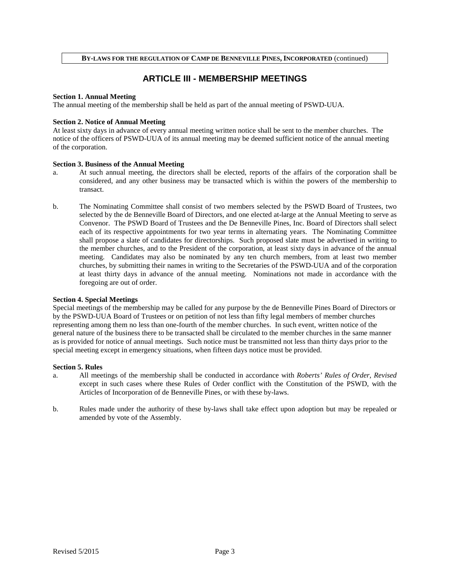## **ARTICLE III - MEMBERSHIP MEETINGS**

#### **Section 1. Annual Meeting**

The annual meeting of the membership shall be held as part of the annual meeting of PSWD-UUA.

#### **Section 2. Notice of Annual Meeting**

At least sixty days in advance of every annual meeting written notice shall be sent to the member churches. The notice of the officers of PSWD-UUA of its annual meeting may be deemed sufficient notice of the annual meeting of the corporation.

#### **Section 3. Business of the Annual Meeting**

- a. At such annual meeting, the directors shall be elected, reports of the affairs of the corporation shall be considered, and any other business may be transacted which is within the powers of the membership to transact.
- b. The Nominating Committee shall consist of two members selected by the PSWD Board of Trustees, two selected by the de Benneville Board of Directors, and one elected at-large at the Annual Meeting to serve as Convenor. The PSWD Board of Trustees and the De Benneville Pines, Inc. Board of Directors shall select each of its respective appointments for two year terms in alternating years. The Nominating Committee shall propose a slate of candidates for directorships. Such proposed slate must be advertised in writing to the member churches, and to the President of the corporation, at least sixty days in advance of the annual meeting. Candidates may also be nominated by any ten church members, from at least two member churches, by submitting their names in writing to the Secretaries of the PSWD-UUA and of the corporation at least thirty days in advance of the annual meeting. Nominations not made in accordance with the foregoing are out of order.

#### **Section 4. Special Meetings**

Special meetings of the membership may be called for any purpose by the de Benneville Pines Board of Directors or by the PSWD-UUA Board of Trustees or on petition of not less than fifty legal members of member churches representing among them no less than one-fourth of the member churches. In such event, written notice of the general nature of the business there to be transacted shall be circulated to the member churches in the same manner as is provided for notice of annual meetings. Such notice must be transmitted not less than thirty days prior to the special meeting except in emergency situations, when fifteen days notice must be provided.

#### **Section 5. Rules**

- a. All meetings of the membership shall be conducted in accordance with *Roberts' Rules of Order, Revised* except in such cases where these Rules of Order conflict with the Constitution of the PSWD, with the Articles of Incorporation of de Benneville Pines, or with these by-laws.
- b. Rules made under the authority of these by-laws shall take effect upon adoption but may be repealed or amended by vote of the Assembly.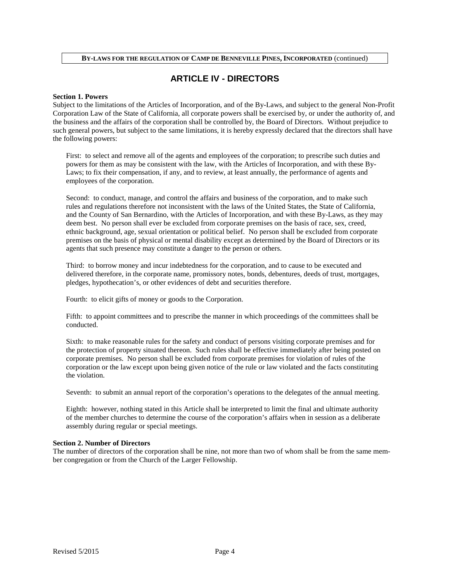## **ARTICLE IV - DIRECTORS**

#### **Section 1. Powers**

Subject to the limitations of the Articles of Incorporation, and of the By-Laws, and subject to the general Non-Profit Corporation Law of the State of California, all corporate powers shall be exercised by, or under the authority of, and the business and the affairs of the corporation shall be controlled by, the Board of Directors. Without prejudice to such general powers, but subject to the same limitations, it is hereby expressly declared that the directors shall have the following powers:

First: to select and remove all of the agents and employees of the corporation; to prescribe such duties and powers for them as may be consistent with the law, with the Articles of Incorporation, and with these By-Laws; to fix their compensation, if any, and to review, at least annually, the performance of agents and employees of the corporation.

Second: to conduct, manage, and control the affairs and business of the corporation, and to make such rules and regulations therefore not inconsistent with the laws of the United States, the State of California, and the County of San Bernardino, with the Articles of Incorporation, and with these By-Laws, as they may deem best. No person shall ever be excluded from corporate premises on the basis of race, sex, creed, ethnic background, age, sexual orientation or political belief. No person shall be excluded from corporate premises on the basis of physical or mental disability except as determined by the Board of Directors or its agents that such presence may constitute a danger to the person or others.

Third: to borrow money and incur indebtedness for the corporation, and to cause to be executed and delivered therefore, in the corporate name, promissory notes, bonds, debentures, deeds of trust, mortgages, pledges, hypothecation's, or other evidences of debt and securities therefore.

Fourth: to elicit gifts of money or goods to the Corporation.

Fifth: to appoint committees and to prescribe the manner in which proceedings of the committees shall be conducted.

Sixth: to make reasonable rules for the safety and conduct of persons visiting corporate premises and for the protection of property situated thereon. Such rules shall be effective immediately after being posted on corporate premises. No person shall be excluded from corporate premises for violation of rules of the corporation or the law except upon being given notice of the rule or law violated and the facts constituting the violation.

Seventh: to submit an annual report of the corporation's operations to the delegates of the annual meeting.

Eighth: however, nothing stated in this Article shall be interpreted to limit the final and ultimate authority of the member churches to determine the course of the corporation's affairs when in session as a deliberate assembly during regular or special meetings.

#### **Section 2. Number of Directors**

The number of directors of the corporation shall be nine, not more than two of whom shall be from the same member congregation or from the Church of the Larger Fellowship.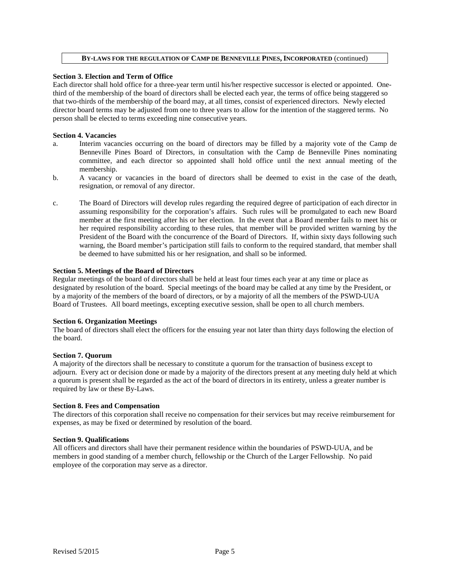#### **Section 3. Election and Term of Office**

Each director shall hold office for a three-year term until his/her respective successor is elected or appointed. Onethird of the membership of the board of directors shall be elected each year, the terms of office being staggered so that two-thirds of the membership of the board may, at all times, consist of experienced directors. Newly elected director board terms may be adjusted from one to three years to allow for the intention of the staggered terms. No person shall be elected to terms exceeding nine consecutive years.

#### **Section 4. Vacancies**

- a. Interim vacancies occurring on the board of directors may be filled by a majority vote of the Camp de Benneville Pines Board of Directors, in consultation with the Camp de Benneville Pines nominating committee, and each director so appointed shall hold office until the next annual meeting of the membership.
- b. A vacancy or vacancies in the board of directors shall be deemed to exist in the case of the death, resignation, or removal of any director.
- c. The Board of Directors will develop rules regarding the required degree of participation of each director in assuming responsibility for the corporation's affairs. Such rules will be promulgated to each new Board member at the first meeting after his or her election. In the event that a Board member fails to meet his or her required responsibility according to these rules, that member will be provided written warning by the President of the Board with the concurrence of the Board of Directors. If, within sixty days following such warning, the Board member's participation still fails to conform to the required standard, that member shall be deemed to have submitted his or her resignation, and shall so be informed.

#### **Section 5. Meetings of the Board of Directors**

Regular meetings of the board of directors shall be held at least four times each year at any time or place as designated by resolution of the board. Special meetings of the board may be called at any time by the President, or by a majority of the members of the board of directors, or by a majority of all the members of the PSWD-UUA Board of Trustees. All board meetings, excepting executive session, shall be open to all church members.

#### **Section 6. Organization Meetings**

The board of directors shall elect the officers for the ensuing year not later than thirty days following the election of the board.

#### **Section 7. Quorum**

A majority of the directors shall be necessary to constitute a quorum for the transaction of business except to adjourn. Every act or decision done or made by a majority of the directors present at any meeting duly held at which a quorum is present shall be regarded as the act of the board of directors in its entirety, unless a greater number is required by law or these By-Laws.

#### **Section 8. Fees and Compensation**

The directors of this corporation shall receive no compensation for their services but may receive reimbursement for expenses, as may be fixed or determined by resolution of the board.

#### **Section 9. Qualifications**

All officers and directors shall have their permanent residence within the boundaries of PSWD-UUA, and be members in good standing of a member church*,* fellowship or the Church of the Larger Fellowship. No paid employee of the corporation may serve as a director.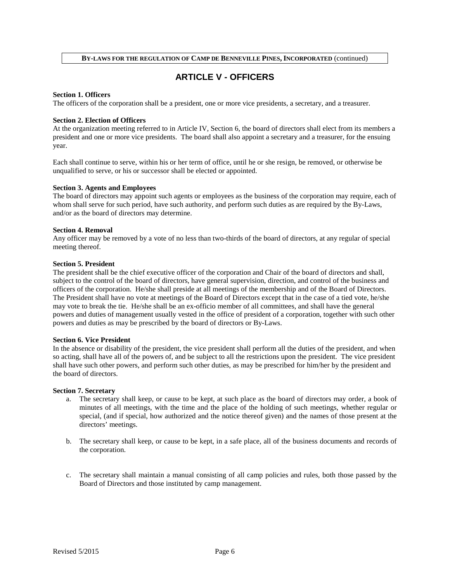## **ARTICLE V - OFFICERS**

#### **Section 1. Officers**

The officers of the corporation shall be a president, one or more vice presidents, a secretary, and a treasurer.

#### **Section 2. Election of Officers**

At the organization meeting referred to in Article IV, Section 6, the board of directors shall elect from its members a president and one or more vice presidents. The board shall also appoint a secretary and a treasurer, for the ensuing year.

Each shall continue to serve, within his or her term of office, until he or she resign, be removed, or otherwise be unqualified to serve, or his or successor shall be elected or appointed.

#### **Section 3. Agents and Employees**

The board of directors may appoint such agents or employees as the business of the corporation may require, each of whom shall serve for such period, have such authority, and perform such duties as are required by the By-Laws, and/or as the board of directors may determine.

#### **Section 4. Removal**

Any officer may be removed by a vote of no less than two-thirds of the board of directors, at any regular of special meeting thereof.

#### **Section 5. President**

The president shall be the chief executive officer of the corporation and Chair of the board of directors and shall, subject to the control of the board of directors, have general supervision, direction, and control of the business and officers of the corporation. He/she shall preside at all meetings of the membership and of the Board of Directors. The President shall have no vote at meetings of the Board of Directors except that in the case of a tied vote, he/she may vote to break the tie. He/she shall be an ex-officio member of all committees, and shall have the general powers and duties of management usually vested in the office of president of a corporation, together with such other powers and duties as may be prescribed by the board of directors or By-Laws.

#### **Section 6. Vice President**

In the absence or disability of the president, the vice president shall perform all the duties of the president, and when so acting, shall have all of the powers of, and be subject to all the restrictions upon the president. The vice president shall have such other powers, and perform such other duties, as may be prescribed for him/her by the president and the board of directors.

#### **Section 7. Secretary**

- a. The secretary shall keep, or cause to be kept, at such place as the board of directors may order, a book of minutes of all meetings, with the time and the place of the holding of such meetings, whether regular or special, (and if special, how authorized and the notice thereof given) and the names of those present at the directors' meetings.
- b. The secretary shall keep, or cause to be kept, in a safe place, all of the business documents and records of the corporation.
- c. The secretary shall maintain a manual consisting of all camp policies and rules, both those passed by the Board of Directors and those instituted by camp management.